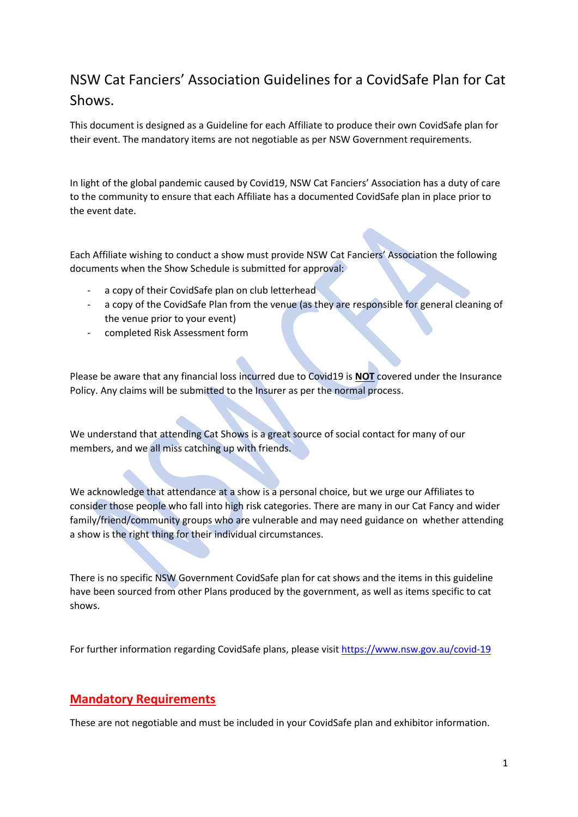# NSW Cat Fanciers' Association Guidelines for a CovidSafe Plan for Cat Shows.

This document is designed as a Guideline for each Affiliate to produce their own CovidSafe plan for their event. The mandatory items are not negotiable as per NSW Government requirements.

In light of the global pandemic caused by Covid19, NSW Cat Fanciers' Association has a duty of care to the community to ensure that each Affiliate has a documented CovidSafe plan in place prior to the event date.

Each Affiliate wishing to conduct a show must provide NSW Cat Fanciers' Association the following documents when the Show Schedule is submitted for approval:

- a copy of their CovidSafe plan on club letterhead
- a copy of the CovidSafe Plan from the venue (as they are responsible for general cleaning of the venue prior to your event)
- completed Risk Assessment form

Please be aware that any financial loss incurred due to Covid19 is **NOT** covered under the Insurance Policy. Any claims will be submitted to the Insurer as per the normal process.

We understand that attending Cat Shows is a great source of social contact for many of our members, and we all miss catching up with friends.

We acknowledge that attendance at a show is a personal choice, but we urge our Affiliates to consider those people who fall into high risk categories. There are many in our Cat Fancy and wider family/friend/community groups who are vulnerable and may need guidance on whether attending a show is the right thing for their individual circumstances.

There is no specific NSW Government CovidSafe plan for cat shows and the items in this guideline have been sourced from other Plans produced by the government, as well as items specific to cat shows.

For further information regarding CovidSafe plans, please visi[t https://www.nsw.gov.au/covid-19](https://www.nsw.gov.au/covid-19)

#### **Mandatory Requirements**

These are not negotiable and must be included in your CovidSafe plan and exhibitor information.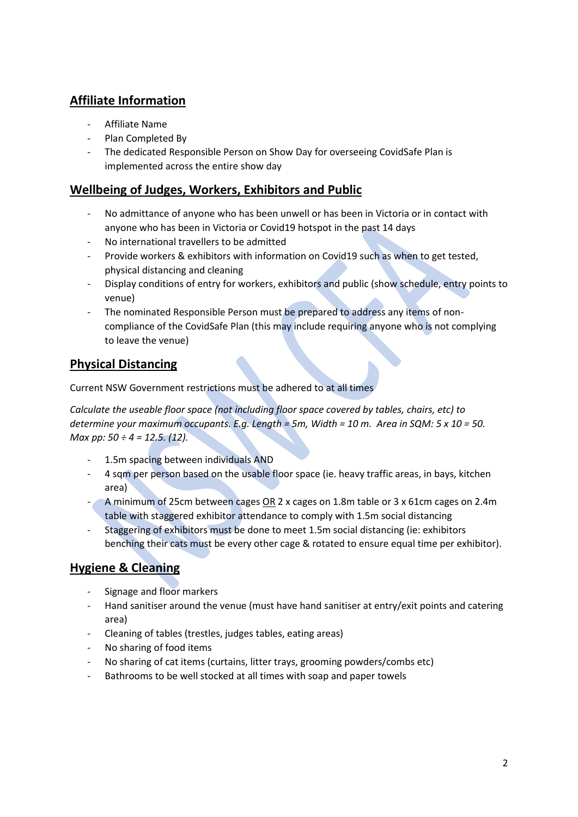# **Affiliate Information**

- Affiliate Name
- Plan Completed By
- The dedicated Responsible Person on Show Day for overseeing CovidSafe Plan is implemented across the entire show day

# **Wellbeing of Judges, Workers, Exhibitors and Public**

- No admittance of anyone who has been unwell or has been in Victoria or in contact with anyone who has been in Victoria or Covid19 hotspot in the past 14 days
- No international travellers to be admitted
- Provide workers & exhibitors with information on Covid19 such as when to get tested, physical distancing and cleaning
- Display conditions of entry for workers, exhibitors and public (show schedule, entry points to venue)
- The nominated Responsible Person must be prepared to address any items of noncompliance of the CovidSafe Plan (this may include requiring anyone who is not complying to leave the venue)

#### **Physical Distancing**

Current NSW Government restrictions must be adhered to at all times

*Calculate the useable floor space (not including floor space covered by tables, chairs, etc) to determine your maximum occupants. E.g. Length = 5m, Width = 10 m. Area in SQM: 5 x 10 = 50. Max pp: 50 ÷ 4 = 12.5. (12).*

- 1.5m spacing between individuals AND
- 4 sqm per person based on the usable floor space (ie. heavy traffic areas, in bays, kitchen area)
- A minimum of 25cm between cages OR 2 x cages on 1.8m table or 3 x 61cm cages on 2.4m table with staggered exhibitor attendance to comply with 1.5m social distancing
- Staggering of exhibitors must be done to meet 1.5m social distancing (ie: exhibitors benching their cats must be every other cage & rotated to ensure equal time per exhibitor).

# **Hygiene & Cleaning**

- Signage and floor markers
- Hand sanitiser around the venue (must have hand sanitiser at entry/exit points and catering area)
- Cleaning of tables (trestles, judges tables, eating areas)
- No sharing of food items
- No sharing of cat items (curtains, litter trays, grooming powders/combs etc)
- Bathrooms to be well stocked at all times with soap and paper towels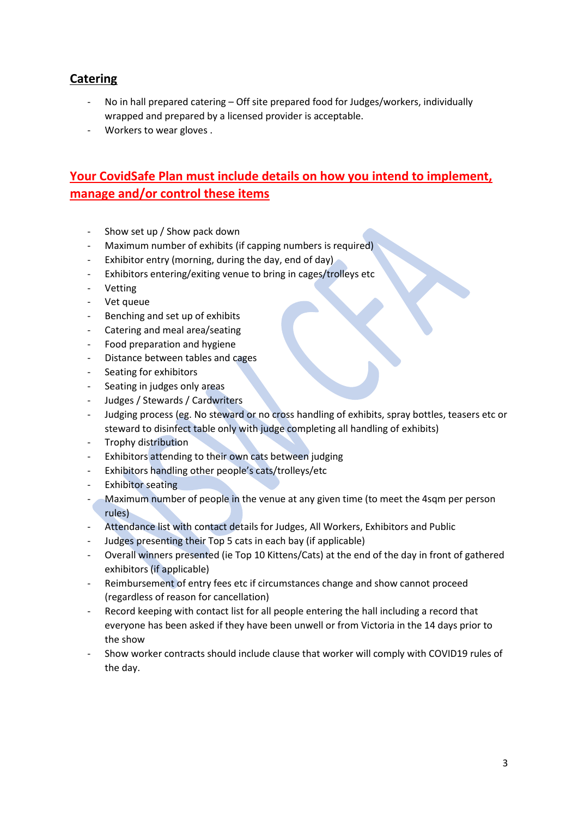# **Catering**

- No in hall prepared catering Off site prepared food for Judges/workers, individually wrapped and prepared by a licensed provider is acceptable.
- Workers to wear gloves .

# **Your CovidSafe Plan must include details on how you intend to implement, manage and/or control these items**

- Show set up / Show pack down
- Maximum number of exhibits (if capping numbers is required)
- Exhibitor entry (morning, during the day, end of day)
- Exhibitors entering/exiting venue to bring in cages/trolleys etc
- **Vetting**
- Vet queue
- Benching and set up of exhibits
- Catering and meal area/seating
- Food preparation and hygiene
- Distance between tables and cages
- Seating for exhibitors
- Seating in judges only areas
- Judges / Stewards / Cardwriters
- Judging process (eg. No steward or no cross handling of exhibits, spray bottles, teasers etc or steward to disinfect table only with judge completing all handling of exhibits)
- Trophy distribution
- Exhibitors attending to their own cats between judging
- Exhibitors handling other people's cats/trolleys/etc
- Exhibitor seating
- Maximum number of people in the venue at any given time (to meet the 4sqm per person rules)
- Attendance list with contact details for Judges, All Workers, Exhibitors and Public
- Judges presenting their Top 5 cats in each bay (if applicable)
- Overall winners presented (ie Top 10 Kittens/Cats) at the end of the day in front of gathered exhibitors (if applicable)
- Reimbursement of entry fees etc if circumstances change and show cannot proceed (regardless of reason for cancellation)
- Record keeping with contact list for all people entering the hall including a record that everyone has been asked if they have been unwell or from Victoria in the 14 days prior to the show
- Show worker contracts should include clause that worker will comply with COVID19 rules of the day.